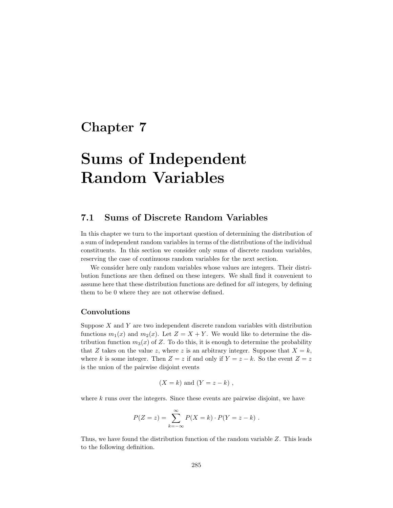# **Chapter 7**

# **Sums of Independent Random Variables**

### **7.1 Sums of Discrete Random Variables**

In this chapter we turn to the important question of determining the distribution of a sum of independent random variables in terms of the distributions of the individual constituents. In this section we consider only sums of discrete random variables, reserving the case of continuous random variables for the next section.

We consider here only random variables whose values are integers. Their distribution functions are then defined on these integers. We shall find it convenient to assume here that these distribution functions are defined for all integers, by defining them to be 0 where they are not otherwise defined.

#### **Convolutions**

Suppose *X* and *Y* are two independent discrete random variables with distribution functions  $m_1(x)$  and  $m_2(x)$ . Let  $Z = X + Y$ . We would like to determine the distribution function  $m_3(x)$  of Z. To do this, it is enough to determine the probability that *Z* takes on the value *z*, where *z* is an arbitrary integer. Suppose that  $X = k$ , where *k* is some integer. Then  $Z = z$  if and only if  $Y = z - k$ . So the event  $Z = z$ is the union of the pairwise disjoint events

$$
(X = k)
$$
 and  $(Y = z - k)$ ,

where *k* runs over the integers. Since these events are pairwise disjoint, we have

$$
P(Z = z) = \sum_{k=-\infty}^{\infty} P(X = k) \cdot P(Y = z - k) .
$$

Thus, we have found the distribution function of the random variable *Z*. This leads to the following definition.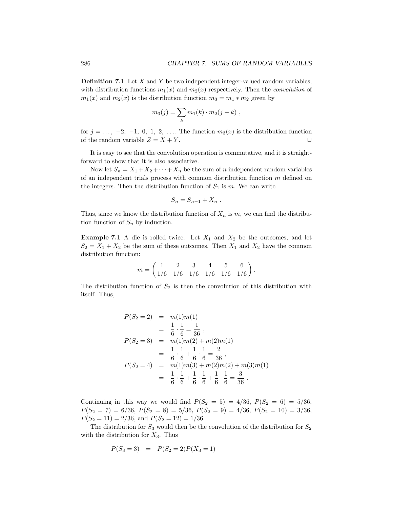**Definition 7.1** Let *X* and *Y* be two independent integer-valued random variables, with distribution functions  $m_1(x)$  and  $m_2(x)$  respectively. Then the *convolution* of  $m_1(x)$  and  $m_2(x)$  is the distribution function  $m_3 = m_1 * m_2$  given by

$$
m_3(j) = \sum_k m_1(k) \cdot m_2(j-k) ,
$$

for  $j = \ldots, -2, -1, 0, 1, 2, \ldots$  The function  $m_3(x)$  is the distribution function of the random variable  $Z = X + Y$ .

It is easy to see that the convolution operation is commutative, and it is straightforward to show that it is also associative.

Now let  $S_n = X_1 + X_2 + \cdots + X_n$  be the sum of *n* independent random variables of an independent trials process with common distribution function *m* defined on the integers. Then the distribution function of  $S_1$  is  $m$ . We can write

$$
S_n = S_{n-1} + X_n .
$$

Thus, since we know the distribution function of  $X_n$  is  $m$ , we can find the distribution function of  $S_n$  by induction.

**Example 7.1** A die is rolled twice. Let  $X_1$  and  $X_2$  be the outcomes, and let  $S_2 = X_1 + X_2$  be the sum of these outcomes. Then  $X_1$  and  $X_2$  have the common distribution function:

$$
m = \begin{pmatrix} 1 & 2 & 3 & 4 & 5 & 6 \\ 1/6 & 1/6 & 1/6 & 1/6 & 1/6 & 1/6 \end{pmatrix}.
$$

The distribution function of  $S_2$  is then the convolution of this distribution with itself. Thus,

$$
P(S_2 = 2) = m(1)m(1)
$$
  
=  $\frac{1}{6} \cdot \frac{1}{6} = \frac{1}{36}$ ,  

$$
P(S_2 = 3) = m(1)m(2) + m(2)m(1)
$$
  
=  $\frac{1}{6} \cdot \frac{1}{6} + \frac{1}{6} \cdot \frac{1}{6} = \frac{2}{36}$ ,  

$$
P(S_2 = 4) = m(1)m(3) + m(2)m(2) + m(3)m(1)
$$
  
=  $\frac{1}{6} \cdot \frac{1}{6} + \frac{1}{6} \cdot \frac{1}{6} + \frac{1}{6} \cdot \frac{1}{6} = \frac{3}{36}$ .

Continuing in this way we would find  $P(S_2 = 5) = 4/36$ ,  $P(S_2 = 6) = 5/36$ ,  $P(S_2 = 7) = 6/36$ ,  $P(S_2 = 8) = 5/36$ ,  $P(S_2 = 9) = 4/36$ ,  $P(S_2 = 10) = 3/36$ ,  $P(S_2 = 11) = 2/36$ , and  $P(S_2 = 12) = 1/36$ .

The distribution for  $S_3$  would then be the convolution of the distribution for  $S_2$ with the distribution for  $X_3$ . Thus

$$
P(S_3 = 3) = P(S_2 = 2)P(X_3 = 1)
$$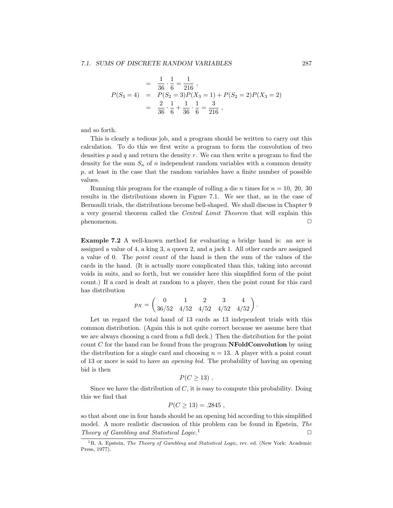$$
= \frac{1}{36} \cdot \frac{1}{6} = \frac{1}{216} ,
$$
  
\n
$$
P(S_3 = 4) = P(S_2 = 3)P(X_3 = 1) + P(S_2 = 2)P(X_3 = 2)
$$
  
\n
$$
= \frac{2}{36} \cdot \frac{1}{6} + \frac{1}{36} \cdot \frac{1}{6} = \frac{3}{216} ,
$$

and so forth.

This is clearly a tedious job, and a program should be written to carry out this calculation. To do this we first write a program to form the convolution of two densities *p* and *q* and return the density *r*. We can then write a program to find the density for the sum  $S_n$  of *n* independent random variables with a common density *p*, at least in the case that the random variables have a finite number of possible values.

Running this program for the example of rolling a die *n* times for  $n = 10, 20, 30$ results in the distributions shown in Figure 7.1. We see that, as in the case of Bernoulli trials, the distributions become bell-shaped. We shall discuss in Chapter 9 a very general theorem called the Central Limit Theorem that will explain this  $p$ henomenon.  $\Box$ 

**Example 7.2** A well-known method for evaluating a bridge hand is: an ace is assigned a value of 4, a king 3, a queen 2, and a jack 1. All other cards are assigned a value of 0. The point count of the hand is then the sum of the values of the cards in the hand. (It is actually more complicated than this, taking into account voids in suits, and so forth, but we consider here this simplified form of the point count.) If a card is dealt at random to a player, then the point count for this card has distribution

$$
p_X = \begin{pmatrix} 0 & 1 & 2 & 3 & 4 \\ 36/52 & 4/52 & 4/52 & 4/52 & 4/52 \end{pmatrix}.
$$

Let us regard the total hand of 13 cards as 13 independent trials with this common distribution. (Again this is not quite correct because we assume here that we are always choosing a card from a full deck.) Then the distribution for the point count *C* for the hand can be found from the program **NFoldConvolution** by using the distribution for a single card and choosing  $n = 13$ . A player with a point count of 13 or more is said to have an opening bid. The probability of having an opening bid is then

$$
P(C \ge 13) .
$$

Since we have the distribution of *C*, it is easy to compute this probability. Doing this we find that

$$
P(C \ge 13) = .2845,
$$

so that about one in four hands should be an opening bid according to this simplified model. A more realistic discussion of this problem can be found in Epstein, The Theory of Gambling and Statistical Logic.<sup>1</sup>  $\Box$ 

<sup>1</sup>R. A. Epstein, *The Theory of Gambling and Statistical Logic,* rev. ed. (New York: Academic Press, 1977).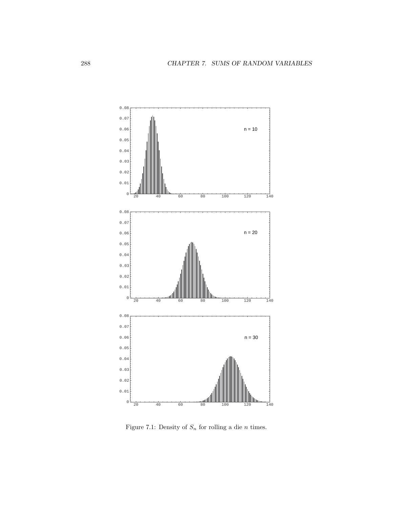

Figure 7.1: Density of  $S_n$  for rolling a die *n* times.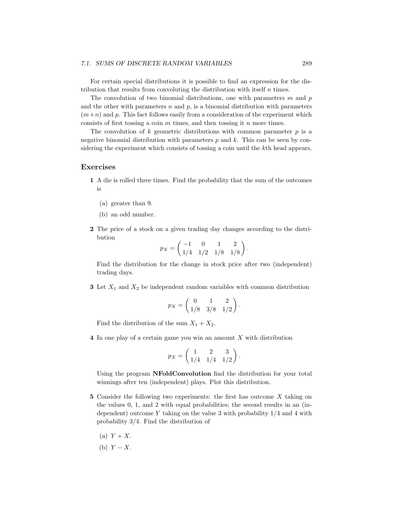#### *7.1. SUMS OF DISCRETE RANDOM VARIABLES* 289

For certain special distributions it is possible to find an expression for the distribution that results from convoluting the distribution with itself *n* times.

The convolution of two binomial distributions, one with parameters *m* and *p* and the other with parameters  $n$  and  $p$ , is a binomial distribution with parameters  $(m+n)$  and p. This fact follows easily from a consideration of the experiment which consists of first tossing a coin *m* times, and then tossing it *n* more times.

The convolution of  $k$  geometric distributions with common parameter  $p$  is a negative binomial distribution with parameters *p* and *k*. This can be seen by considering the experiment which consists of tossing a coin until the *k*th head appears.

#### **Exercises**

- **1** A die is rolled three times. Find the probability that the sum of the outcomes is
	- (a) greater than 9.
	- (b) an odd number.
- **2** The price of a stock on a given trading day changes according to the distribution

$$
p_X = \begin{pmatrix} -1 & 0 & 1 & 2 \\ 1/4 & 1/2 & 1/8 & 1/8 \end{pmatrix}.
$$

Find the distribution for the change in stock price after two (independent) trading days.

**3** Let *X*<sup>1</sup> and *X*<sup>2</sup> be independent random variables with common distribution

$$
p_X = \begin{pmatrix} 0 & 1 & 2 \\ 1/8 & 3/8 & 1/2 \end{pmatrix}.
$$

Find the distribution of the sum  $X_1 + X_2$ .

**4** In one play of a certain game you win an amount *X* with distribution

$$
p_X = \begin{pmatrix} 1 & 2 & 3 \\ 1/4 & 1/4 & 1/2 \end{pmatrix}
$$

*.*

Using the program **NFoldConvolution** find the distribution for your total winnings after ten (independent) plays. Plot this distribution.

- **5** Consider the following two experiments: the first has outcome *X* taking on the values 0, 1, and 2 with equal probabilities; the second results in an (independent) outcome *Y* taking on the value 3 with probability 1/4 and 4 with probability 3/4. Find the distribution of
	- (a)  $Y + X$ .
	- (b) *Y* − *X*.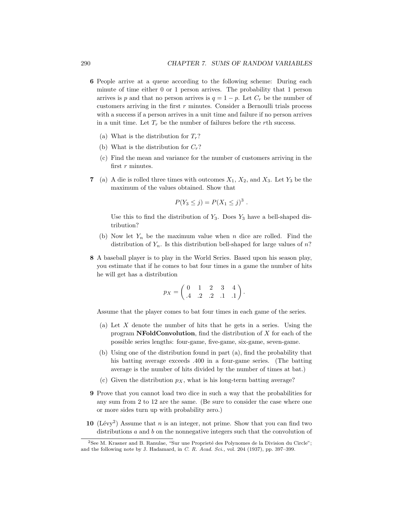- **6** People arrive at a queue according to the following scheme: During each minute of time either 0 or 1 person arrives. The probability that 1 person arrives is *p* and that no person arrives is  $q = 1 - p$ . Let  $C_r$  be the number of customers arriving in the first *r* minutes. Consider a Bernoulli trials process with a success if a person arrives in a unit time and failure if no person arrives in a unit time. Let  $T_r$  be the number of failures before the *r*th success.
	- (a) What is the distribution for  $T_r$ ?
	- (b) What is the distribution for  $C_r$ ?
	- (c) Find the mean and variance for the number of customers arriving in the first *r* minutes.
- **7** (a) A die is rolled three times with outcomes  $X_1$ ,  $X_2$ , and  $X_3$ . Let  $Y_3$  be the maximum of the values obtained. Show that

$$
P(Y_3 \leq j) = P(X_1 \leq j)^3.
$$

Use this to find the distribution of  $Y_3$ . Does  $Y_3$  have a bell-shaped distribution?

- (b) Now let *Y<sup>n</sup>* be the maximum value when *n* dice are rolled. Find the distribution of  $Y_n$ . Is this distribution bell-shaped for large values of *n*?
- **8** A baseball player is to play in the World Series. Based upon his season play, you estimate that if he comes to bat four times in a game the number of hits he will get has a distribution

$$
p_X = \begin{pmatrix} 0 & 1 & 2 & 3 & 4 \\ .4 & .2 & .2 & .1 & .1 \end{pmatrix}.
$$

Assume that the player comes to bat four times in each game of the series.

- (a) Let *X* denote the number of hits that he gets in a series. Using the program **NFoldConvolution**, find the distribution of *X* for each of the possible series lengths: four-game, five-game, six-game, seven-game.
- (b) Using one of the distribution found in part (a), find the probability that his batting average exceeds .400 in a four-game series. (The batting average is the number of hits divided by the number of times at bat.)
- (c) Given the distribution  $p_X$ , what is his long-term batting average?
- **9** Prove that you cannot load two dice in such a way that the probabilities for any sum from 2 to 12 are the same. (Be sure to consider the case where one or more sides turn up with probability zero.)
- **10** (Lévy<sup>2</sup>) Assume that *n* is an integer, not prime. Show that you can find two distributions *a* and *b* on the nonnegative integers such that the convolution of

 $2$ See M. Krasner and B. Ranulae, "Sur une Proprieté des Polynomes de la Division du Circle"; and the following note by J. Hadamard, in *C. R. Acad. Sci.,* vol. 204 (1937), pp. 397–399.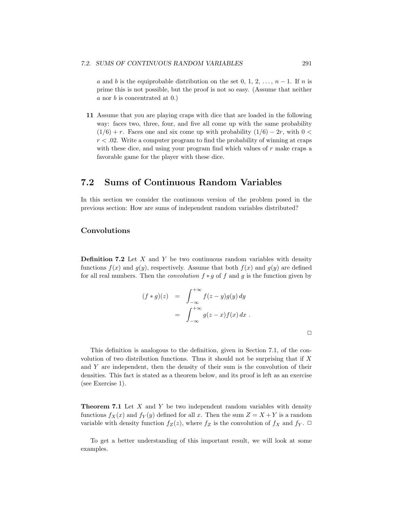*a* and *b* is the equiprobable distribution on the set 0, 1, 2, ...,  $n-1$ . If *n* is prime this is not possible, but the proof is not so easy. (Assume that neither *a* nor *b* is concentrated at 0.)

**11** Assume that you are playing craps with dice that are loaded in the following way: faces two, three, four, and five all come up with the same probability  $(1/6) + r$ . Faces one and six come up with probability  $(1/6) - 2r$ , with 0 <  $r < .02$ . Write a computer program to find the probability of winning at craps with these dice, and using your program find which values of *r* make craps a favorable game for the player with these dice.

## **7.2 Sums of Continuous Random Variables**

In this section we consider the continuous version of the problem posed in the previous section: How are sums of independent random variables distributed?

#### **Convolutions**

**Definition 7.2** Let *X* and *Y* be two continuous random variables with density functions  $f(x)$  and  $g(y)$ , respectively. Assume that both  $f(x)$  and  $g(y)$  are defined for all real numbers. Then the convolution *f* ∗ *g* of *f* and *g* is the function given by

$$
(f * g)(z) = \int_{-\infty}^{+\infty} f(z - y)g(y) dy
$$

$$
= \int_{-\infty}^{+\infty} g(z - x) f(x) dx.
$$

 $\Box$ 

This definition is analogous to the definition, given in Section 7.1, of the convolution of two distribution functions. Thus it should not be surprising that if *X* and *Y* are independent, then the density of their sum is the convolution of their densities. This fact is stated as a theorem below, and its proof is left as an exercise (see Exercise 1).

**Theorem 7.1** Let *X* and *Y* be two independent random variables with density functions  $f_X(x)$  and  $f_Y(y)$  defined for all *x*. Then the sum  $Z = X + Y$  is a random variable with density function  $f_Z(z)$ , where  $f_Z$  is the convolution of  $f_X$  and  $f_Y$ .  $\Box$ 

To get a better understanding of this important result, we will look at some examples.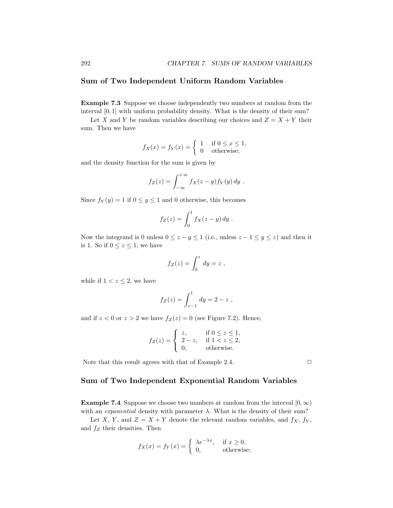#### **Sum of Two Independent Uniform Random Variables**

**Example 7.3** Suppose we choose independently two numbers at random from the interval [0*,* 1] with uniform probability density. What is the density of their sum?

Let *X* and *Y* be random variables describing our choices and  $Z = X + Y$  their sum. Then we have

$$
f_X(x) = f_Y(x) = \begin{cases} 1 & \text{if } 0 \le x \le 1, \\ 0 & \text{otherwise}; \end{cases}
$$

and the density function for the sum is given by

$$
f_Z(z) = \int_{-\infty}^{+\infty} f_X(z - y) f_Y(y) dy.
$$

Since  $f_Y(y) = 1$  if  $0 \le y \le 1$  and 0 otherwise, this becomes

$$
f_Z(z) = \int_0^1 f_X(z - y) dy.
$$

Now the integrand is 0 unless  $0 \le z - y \le 1$  (i.e., unless  $z - 1 \le y \le z$ ) and then it is 1. So if  $0 \leq z \leq 1$ , we have

$$
f_Z(z) = \int_0^z dy = z ,
$$

while if  $1 < z \leq 2$ , we have

$$
f_Z(z) = \int_{z-1}^1 dy = 2 - z,
$$

and if  $z < 0$  or  $z > 2$  we have  $f_Z(z) = 0$  (see Figure 7.2). Hence,

$$
f_Z(z) = \begin{cases} z, & \text{if } 0 \le z \le 1, \\ 2 - z, & \text{if } 1 < z \le 2, \\ 0, & \text{otherwise.} \end{cases}
$$

Note that this result agrees with that of Example 2.4.  $\Box$ 

#### **Sum of Two Independent Exponential Random Variables**

**Example 7.4** Suppose we choose two numbers at random from the interval  $[0, \infty)$ with an *exponential* density with parameter  $\lambda$ . What is the density of their sum?

Let *X*, *Y*, and  $Z = X + Y$  denote the relevant random variables, and  $f_X$ ,  $f_Y$ , and *f<sup>Z</sup>* their densities. Then

$$
f_X(x) = f_Y(x) = \begin{cases} \lambda e^{-\lambda x}, & \text{if } x \ge 0, \\ 0, & \text{otherwise}; \end{cases}
$$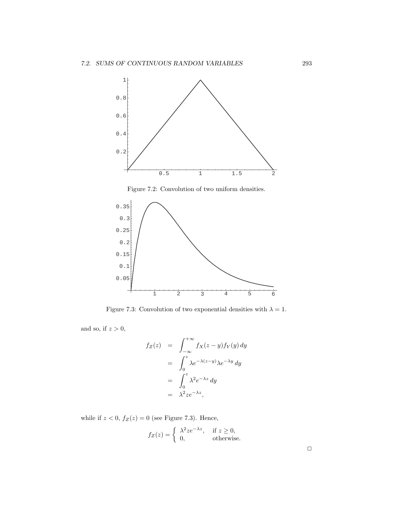

Figure 7.2: Convolution of two uniform densities.



Figure 7.3: Convolution of two exponential densities with  $\lambda = 1$ .

and so, if *z >* 0,

$$
f_Z(z) = \int_{-\infty}^{+\infty} f_X(z - y) f_Y(y) dy
$$
  
= 
$$
\int_0^z \lambda e^{-\lambda(z-y)} \lambda e^{-\lambda y} dy
$$
  
= 
$$
\int_0^z \lambda^2 e^{-\lambda z} dy
$$
  
= 
$$
\lambda^2 z e^{-\lambda z},
$$

while if  $z < 0$ ,  $f_Z(z) = 0$  (see Figure 7.3). Hence,

$$
f_Z(z) = \begin{cases} \lambda^2 z e^{-\lambda z}, & \text{if } z \ge 0, \\ 0, & \text{otherwise.} \end{cases}
$$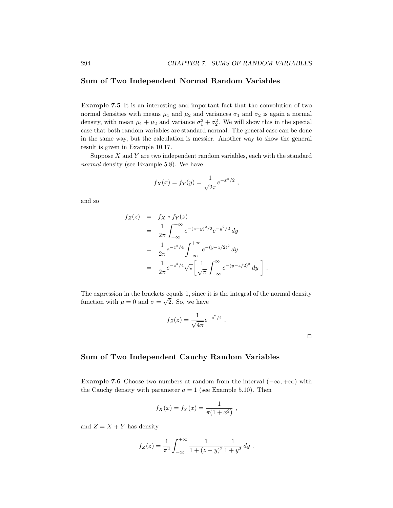#### **Sum of Two Independent Normal Random Variables**

**Example 7.5** It is an interesting and important fact that the convolution of two normal densities with means  $\mu_1$  and  $\mu_2$  and variances  $\sigma_1$  and  $\sigma_2$  is again a normal density, with mean  $\mu_1 + \mu_2$  and variance  $\sigma_1^2 + \sigma_2^2$ . We will show this in the special case that both random variables are standard normal. The general case can be done in the same way, but the calculation is messier. Another way to show the general result is given in Example 10.17.

Suppose *X* and *Y* are two independent random variables, each with the standard normal density (see Example 5.8). We have

$$
f_X(x) = f_Y(y) = \frac{1}{\sqrt{2\pi}}e^{-x^2/2}
$$
,

and so

$$
f_Z(z) = f_X * f_Y(z)
$$
  
=  $\frac{1}{2\pi} \int_{-\infty}^{+\infty} e^{-(z-y)^2/2} e^{-y^2/2} dy$   
=  $\frac{1}{2\pi} e^{-z^2/4} \int_{-\infty}^{+\infty} e^{-(y-z/2)^2} dy$   
=  $\frac{1}{2\pi} e^{-z^2/4} \sqrt{\pi} \left[ \frac{1}{\sqrt{\pi}} \int_{-\infty}^{\infty} e^{-(y-z/2)^2} dy \right]$ 

The expression in the brackets equals 1, since it is the integral of the normal density function with  $\mu = 0$  and  $\sigma = \sqrt{2}$ . So, we have

$$
f_Z(z) = \frac{1}{\sqrt{4\pi}} e^{-z^2/4} .
$$

*.*

 $\Box$ 

#### **Sum of Two Independent Cauchy Random Variables**

**Example 7.6** Choose two numbers at random from the interval  $(-\infty, +\infty)$  with the Cauchy density with parameter  $a = 1$  (see Example 5.10). Then

$$
f_X(x) = f_Y(x) = \frac{1}{\pi(1+x^2)},
$$

and  $Z = X + Y$  has density

$$
f_Z(z) = \frac{1}{\pi^2} \int_{-\infty}^{+\infty} \frac{1}{1 + (z - y)^2} \frac{1}{1 + y^2} \, dy \, .
$$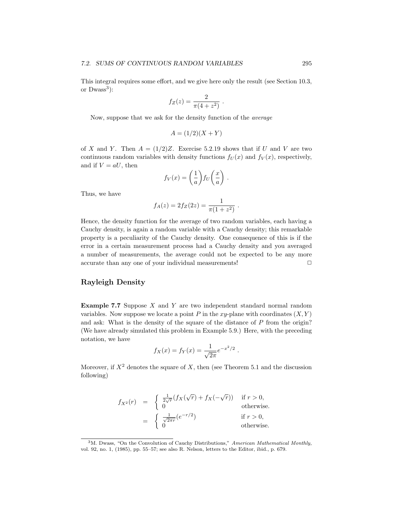This integral requires some effort, and we give here only the result (see Section 10.3, or  $Dwass<sup>3</sup>$ :

$$
f_Z(z) = \frac{2}{\pi(4 + z^2)} \; .
$$

Now, suppose that we ask for the density function of the average

$$
A = (1/2)(X + Y)
$$

of *X* and *Y*. Then  $A = (1/2)Z$ . Exercise 5.2.19 shows that if *U* and *V* are two continuous random variables with density functions  $f_U(x)$  and  $f_V(x)$ , respectively, and if  $V = aU$ , then

$$
f_V(x) = \left(\frac{1}{a}\right) f_U\left(\frac{x}{a}\right).
$$

Thus, we have

$$
f_A(z) = 2f_Z(2z) = \frac{1}{\pi(1 + z^2)}.
$$

Hence, the density function for the average of two random variables, each having a Cauchy density, is again a random variable with a Cauchy density; this remarkable property is a peculiarity of the Cauchy density. One consequence of this is if the error in a certain measurement process had a Cauchy density and you averaged a number of measurements, the average could not be expected to be any more accurate than any one of your individual measurements!  $\Box$ 

#### **Rayleigh Density**

**Example 7.7** Suppose *X* and *Y* are two independent standard normal random variables. Now suppose we locate a point  $P$  in the  $xy$ -plane with coordinates  $(X, Y)$ and ask: What is the density of the square of the distance of *P* from the origin? (We have already simulated this problem in Example 5.9.) Here, with the preceding notation, we have

$$
f_X(x) = f_Y(x) = \frac{1}{\sqrt{2\pi}}e^{-x^2/2}
$$
.

Moreover, if  $X^2$  denotes the square of  $X$ , then (see Theorem 5.1 and the discussion following)

$$
f_{X^2}(r) = \begin{cases} \frac{1}{2\sqrt{r}}(f_X(\sqrt{r}) + f_X(-\sqrt{r})) & \text{if } r > 0, \\ 0 & \text{otherwise.} \end{cases}
$$
  
= 
$$
\begin{cases} \frac{1}{\sqrt{2\pi r}}(e^{-r/2}) & \text{if } r > 0, \\ 0 & \text{otherwise.} \end{cases}
$$

<sup>3</sup>M. Dwass, "On the Convolution of Cauchy Distributions," *American Mathematical Monthly,* vol. 92, no. 1, (1985), pp. 55–57; see also R. Nelson, letters to the Editor, ibid., p. 679.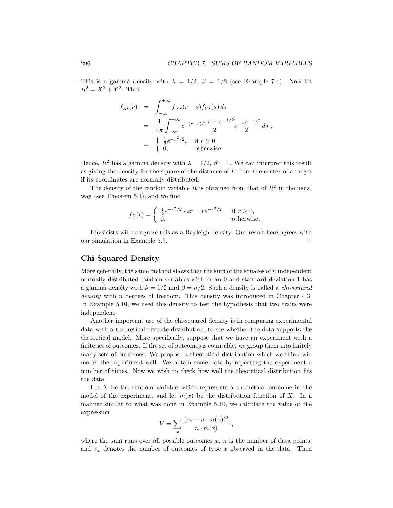This is a gamma density with  $\lambda = 1/2$ ,  $\beta = 1/2$  (see Example 7.4). Now let  $R^2 = X^2 + Y^2$ . Then

$$
f_{R^2}(r) = \int_{-\infty}^{+\infty} f_{X^2}(r-s) f_{Y^2}(s) ds
$$
  
=  $\frac{1}{4\pi} \int_{-\infty}^{+\infty} e^{-(r-s)/2} \frac{r-s}{2}^{-1/2} e^{-s} \frac{s}{2}^{-1/2} ds$ ,  
=  $\begin{cases} \frac{1}{2} e^{-r^2/2}, & \text{if } r \ge 0, \\ 0, & \text{otherwise.} \end{cases}$ 

Hence,  $R^2$  has a gamma density with  $\lambda = 1/2$ ,  $\beta = 1$ . We can interpret this result as giving the density for the square of the distance of *P* from the center of a target if its coordinates are normally distributed.

The density of the random variable  $R$  is obtained from that of  $R^2$  in the usual way (see Theorem 5.1), and we find

$$
f_R(r) = \begin{cases} \frac{1}{2}e^{-r^2/2} \cdot 2r = re^{-r^2/2}, & \text{if } r \ge 0, \\ 0, & \text{otherwise.} \end{cases}
$$

Physicists will recognize this as a Rayleigh density. Our result here agrees with our simulation in Example 5.9.  $\Box$ 

#### **Chi-Squared Density**

More generally, the same method shows that the sum of the squares of *n* independent normally distributed random variables with mean 0 and standard deviation 1 has a gamma density with  $\lambda = 1/2$  and  $\beta = n/2$ . Such a density is called a *chi-squared* density with *n* degrees of freedom. This density was introduced in Chapter 4.3. In Example 5.10, we used this density to test the hypothesis that two traits were independent.

Another important use of the chi-squared density is in comparing experimental data with a theoretical discrete distribution, to see whether the data supports the theoretical model. More specifically, suppose that we have an experiment with a finite set of outcomes. If the set of outcomes is countable, we group them into finitely many sets of outcomes. We propose a theoretical distribution which we think will model the experiment well. We obtain some data by repeating the experiment a number of times. Now we wish to check how well the theoretical distribution fits the data.

Let *X* be the random variable which represents a theoretical outcome in the model of the experiment, and let  $m(x)$  be the distribution function of X. In a manner similar to what was done in Example 5.10, we calculate the value of the expression

$$
V = \sum_{x} \frac{(o_x - n \cdot m(x))^2}{n \cdot m(x)},
$$

where the sum runs over all possible outcomes  $x$ ,  $n$  is the number of data points, and  $o_x$  denotes the number of outcomes of type  $x$  observed in the data. Then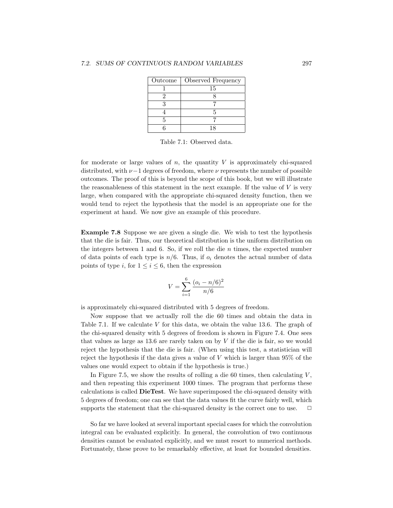| Outcome | Observed Frequency |
|---------|--------------------|
|         | 15                 |
|         |                    |
|         |                    |
|         |                    |
|         |                    |
|         |                    |

Table 7.1: Observed data.

for moderate or large values of  $n$ , the quantity  $V$  is approximately chi-squared distributed, with *ν*−1 degrees of freedom, where *ν* represents the number of possible outcomes. The proof of this is beyond the scope of this book, but we will illustrate the reasonableness of this statement in the next example. If the value of *V* is very large, when compared with the appropriate chi-squared density function, then we would tend to reject the hypothesis that the model is an appropriate one for the experiment at hand. We now give an example of this procedure.

**Example 7.8** Suppose we are given a single die. We wish to test the hypothesis that the die is fair. Thus, our theoretical distribution is the uniform distribution on the integers between 1 and 6. So, if we roll the die *n* times, the expected number of data points of each type is  $n/6$ . Thus, if  $o_i$  denotes the actual number of data points of type *i*, for  $1 \le i \le 6$ , then the expression

$$
V = \sum_{i=1}^{6} \frac{(o_i - n/6)^2}{n/6}
$$

is approximately chi-squared distributed with 5 degrees of freedom.

Now suppose that we actually roll the die 60 times and obtain the data in Table 7.1. If we calculate *V* for this data, we obtain the value 13.6. The graph of the chi-squared density with 5 degrees of freedom is shown in Figure 7.4. One sees that values as large as 13.6 are rarely taken on by *V* if the die is fair, so we would reject the hypothesis that the die is fair. (When using this test, a statistician will reject the hypothesis if the data gives a value of *V* which is larger than 95% of the values one would expect to obtain if the hypothesis is true.)

In Figure 7.5, we show the results of rolling a die 60 times, then calculating  $V$ , and then repeating this experiment 1000 times. The program that performs these calculations is called **DieTest**. We have superimposed the chi-squared density with 5 degrees of freedom; one can see that the data values fit the curve fairly well, which supports the statement that the chi-squared density is the correct one to use.  $\Box$ 

So far we have looked at several important special cases for which the convolution integral can be evaluated explicitly. In general, the convolution of two continuous densities cannot be evaluated explicitly, and we must resort to numerical methods. Fortunately, these prove to be remarkably effective, at least for bounded densities.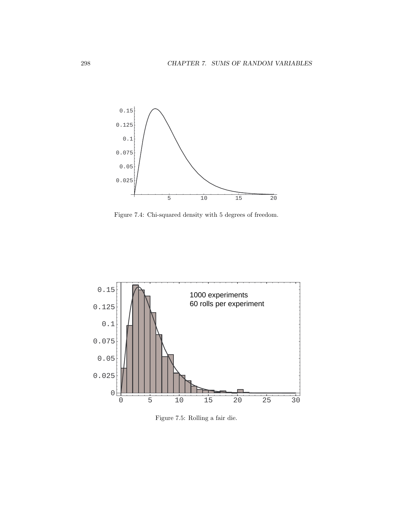

Figure 7.4: Chi-squared density with 5 degrees of freedom.



Figure 7.5: Rolling a fair die.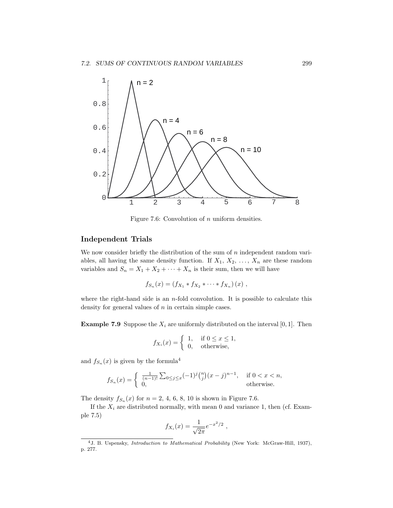

Figure 7.6: Convolution of *n* uniform densities.

#### **Independent Trials**

We now consider briefly the distribution of the sum of *n* independent random variables, all having the same density function. If  $X_1, X_2, \ldots, X_n$  are these random variables and  $S_n = X_1 + X_2 + \cdots + X_n$  is their sum, then we will have

$$
f_{S_n}(x) = (f_{X_1} * f_{X_2} * \cdots * f_{X_n})(x) ,
$$

where the right-hand side is an *n*-fold convolution. It is possible to calculate this density for general values of *n* in certain simple cases.

**Example 7.9** Suppose the  $X_i$  are uniformly distributed on the interval [0, 1]. Then

$$
f_{X_i}(x) = \begin{cases} 1, & \text{if } 0 \le x \le 1, \\ 0, & \text{otherwise,} \end{cases}
$$

and  $f_{S_n}(x)$  is given by the formula<sup>4</sup>

$$
f_{S_n}(x) = \begin{cases} \frac{1}{(n-1)!} \sum_{0 \le j \le x} (-1)^j \binom{n}{j} (x-j)^{n-1}, & \text{if } 0 < x < n, \\ 0, & \text{otherwise.} \end{cases}
$$

The density  $f_{S_n}(x)$  for  $n = 2, 4, 6, 8, 10$  is shown in Figure 7.6.

If the  $X_i$  are distributed normally, with mean 0 and variance 1, then (cf. Example 7.5)

$$
f_{X_i}(x) = \frac{1}{\sqrt{2\pi}} e^{-x^2/2} ,
$$

<sup>4</sup>J. B. Uspensky, *Introduction to Mathematical Probability* (New York: McGraw-Hill, 1937), p. 277.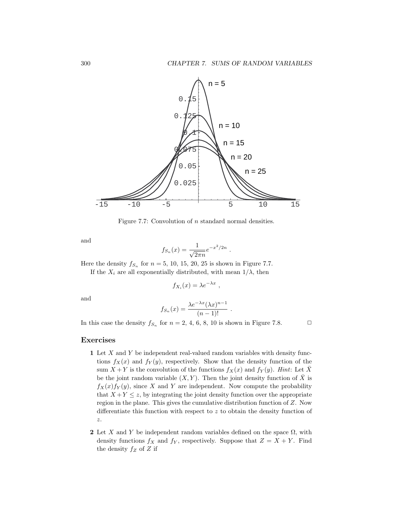

Figure 7.7: Convolution of *n* standard normal densities.

and

$$
f_{S_n}(x) = \frac{1}{\sqrt{2\pi n}} e^{-x^2/2n} .
$$

Here the density  $f_{S_n}$  for  $n = 5$ , 10, 15, 20, 25 is shown in Figure 7.7.

If the  $X_i$  are all exponentially distributed, with mean  $1/\lambda$ , then

$$
f_{X_i}(x) = \lambda e^{-\lambda x} ,
$$

and

$$
f_{S_n}(x) = \frac{\lambda e^{-\lambda x} (\lambda x)^{n-1}}{(n-1)!}.
$$

In this case the density  $f_{S_n}$  for  $n = 2, 4, 6, 8, 10$  is shown in Figure 7.8.

#### **Exercises**

- **1** Let *X* and *Y* be independent real-valued random variables with density functions  $f_X(x)$  and  $f_Y(y)$ , respectively. Show that the density function of the sum  $X + Y$  is the convolution of the functions  $f_X(x)$  and  $f_Y(y)$ . Hint: Let  $\bar{X}$ be the joint random variable  $(X, Y)$ . Then the joint density function of  $\overline{X}$  is  $f_X(x) f_Y(y)$ , since *X* and *Y* are independent. Now compute the probability that  $X + Y \leq z$ , by integrating the joint density function over the appropriate region in the plane. This gives the cumulative distribution function of *Z*. Now differentiate this function with respect to *z* to obtain the density function of *z*.
- **2** Let *X* and *Y* be independent random variables defined on the space  $\Omega$ , with density functions  $f_X$  and  $f_Y$ , respectively. Suppose that  $Z = X + Y$ . Find the density *f<sup>Z</sup>* of *Z* if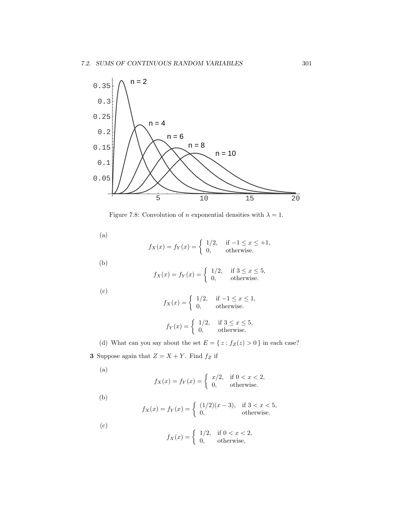

Figure 7.8: Convolution of *n* exponential densities with  $\lambda = 1$ .

(a)

$$
f_X(x) = f_Y(x) = \begin{cases} 1/2, & \text{if } -1 \le x \le +1, \\ 0, & \text{otherwise.} \end{cases}
$$

(b)

$$
f_X(x) = f_Y(x) = \begin{cases} 1/2, & \text{if } 3 \le x \le 5, \\ 0, & \text{otherwise.} \end{cases}
$$

(c)

$$
f_X(x) = \begin{cases} 1/2, & \text{if } -1 \le x \le 1, \\ 0, & \text{otherwise.} \end{cases}
$$

$$
f_Y(x) = \begin{cases} 1/2, & \text{if } 3 \le x \le 5, \\ 0, & \text{otherwise.} \end{cases}
$$

(d) What can you say about the set  $E = \{\,z : f_Z(z) > 0\,\}$  in each case? **3** Suppose again that  $Z = X + Y$ . Find  $f_Z$  if

$$
\rm (a)
$$

$$
f_X(x) = f_Y(x) = \begin{cases} x/2, & \text{if } 0 < x < 2, \\ 0, & \text{otherwise.} \end{cases}
$$

(b)

$$
f_X(x) = f_Y(x) = \begin{cases} (1/2)(x-3), & \text{if } 3 < x < 5, \\ 0, & \text{otherwise.} \end{cases}
$$

(c)

$$
f_X(x) = \begin{cases} 1/2, & \text{if } 0 < x < 2, \\ 0, & \text{otherwise,} \end{cases}
$$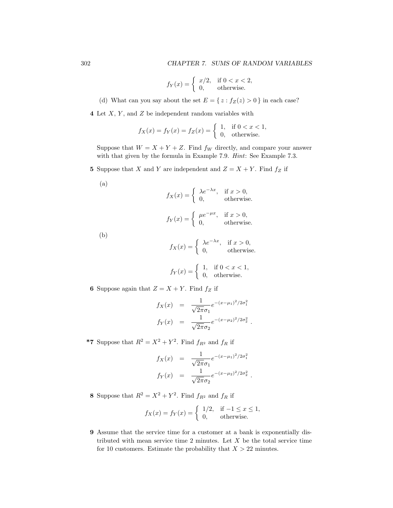$$
f_Y(x) = \begin{cases} x/2, & \text{if } 0 < x < 2, \\ 0, & \text{otherwise.} \end{cases}
$$

(d) What can you say about the set  $E = \{ z : f_Z(z) > 0 \}$  in each case?

**4** Let *X*, *Y* , and *Z* be independent random variables with

$$
f_X(x) = f_Y(x) = f_Z(x) = \begin{cases} 1, & \text{if } 0 < x < 1, \\ 0, & \text{otherwise.} \end{cases}
$$

Suppose that  $W = X + Y + Z$ . Find  $f_W$  directly, and compare your answer with that given by the formula in Example 7.9. Hint: See Example 7.3.

**5** Suppose that *X* and *Y* are independent and  $Z = X + Y$ . Find  $f_Z$  if

$$
\rm (a)
$$

$$
f_X(x) = \begin{cases} \lambda e^{-\lambda x}, & \text{if } x > 0, \\ 0, & \text{otherwise.} \end{cases}
$$

$$
f_Y(x) = \begin{cases} \mu e^{-\mu x}, & \text{if } x > 0, \\ 0, & \text{otherwise.} \end{cases}
$$

(b)

$$
f_X(x) = \begin{cases} \lambda e^{-\lambda x}, & \text{if } x > 0, \\ 0, & \text{otherwise.} \end{cases}
$$

$$
f_Y(x) = \begin{cases} 1, & \text{if } 0 < x < 1, \\ 0, & \text{otherwise.} \end{cases}
$$

**6** Suppose again that  $Z = X + Y$ . Find  $f_Z$  if

$$
f_X(x) = \frac{1}{\sqrt{2\pi}\sigma_1} e^{-(x-\mu_1)^2/2\sigma_1^2}
$$
  

$$
f_Y(x) = \frac{1}{\sqrt{2\pi}\sigma_2} e^{-(x-\mu_2)^2/2\sigma_2^2}.
$$

**\*7** Suppose that  $R^2 = X^2 + Y^2$ . Find  $f_{R^2}$  and  $f_R$  if

$$
f_X(x) = \frac{1}{\sqrt{2\pi}\sigma_1} e^{-(x-\mu_1)^2/2\sigma_1^2}
$$
  

$$
f_Y(x) = \frac{1}{\sqrt{2\pi}\sigma_2} e^{-(x-\mu_2)^2/2\sigma_2^2}.
$$

**8** Suppose that  $R^2 = X^2 + Y^2$ . Find  $f_{R^2}$  and  $f_R$  if

$$
f_X(x) = f_Y(x) = \begin{cases} 1/2, & \text{if } -1 \le x \le 1, \\ 0, & \text{otherwise.} \end{cases}
$$

**9** Assume that the service time for a customer at a bank is exponentially distributed with mean service time 2 minutes. Let *X* be the total service time for 10 customers. Estimate the probability that  $X > 22$  minutes.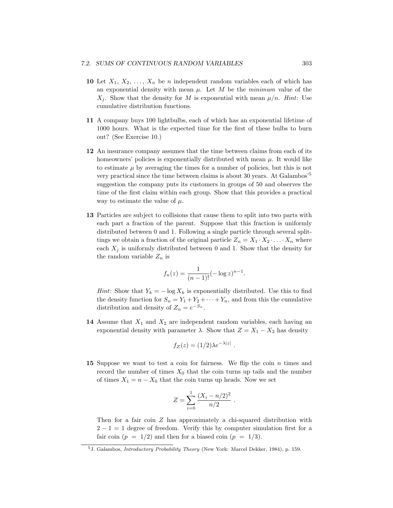- **10** Let  $X_1, X_2, \ldots, X_n$  be *n* independent random variables each of which has an exponential density with mean  $\mu$ . Let M be the *minimum* value of the  $X_i$ . Show that the density for *M* is exponential with mean  $\mu/n$ . Hint: Use cumulative distribution functions.
- **11** A company buys 100 lightbulbs, each of which has an exponential lifetime of 1000 hours. What is the expected time for the first of these bulbs to burn out? (See Exercise 10.)
- **12** An insurance company assumes that the time between claims from each of its homeowners' policies is exponentially distributed with mean  $\mu$ . It would like to estimate  $\mu$  by averaging the times for a number of policies, but this is not very practical since the time between claims is about 30 years. At Galambos'<sup>5</sup> suggestion the company puts its customers in groups of 50 and observes the time of the first claim within each group. Show that this provides a practical way to estimate the value of *µ*.
- **13** Particles are subject to collisions that cause them to split into two parts with each part a fraction of the parent. Suppose that this fraction is uniformly distributed between 0 and 1. Following a single particle through several splittings we obtain a fraction of the original particle  $Z_n = X_1 \cdot X_2 \cdot \ldots \cdot X_n$  where each  $X_i$  is uniformly distributed between 0 and 1. Show that the density for the random variable  $Z_n$  is

$$
f_n(z) = \frac{1}{(n-1)!} (-\log z)^{n-1}.
$$

*Hint*: Show that  $Y_k = -\log X_k$  is exponentially distributed. Use this to find the density function for  $S_n = Y_1 + Y_2 + \cdots + Y_n$ , and from this the cumulative distribution and density of  $Z_n = e^{-S_n}$ .

**14** Assume that *X*<sup>1</sup> and *X*<sup>2</sup> are independent random variables, each having an exponential density with parameter  $\lambda$ . Show that  $Z = X_1 - X_2$  has density

$$
f_Z(z) = (1/2)\lambda e^{-\lambda |z|}.
$$

**15** Suppose we want to test a coin for fairness. We flip the coin *n* times and record the number of times  $X_0$  that the coin turns up tails and the number of times  $X_1 = n - X_0$  that the coin turns up heads. Now we set

$$
Z = \sum_{i=0}^{1} \frac{(X_i - n/2)^2}{n/2}.
$$

Then for a fair coin *Z* has approximately a chi-squared distribution with  $2 - 1 = 1$  degree of freedom. Verify this by computer simulation first for a fair coin  $(p = 1/2)$  and then for a biased coin  $(p = 1/3)$ .

<sup>5</sup>J. Galambos, *Introductory Probability Theory* (New York: Marcel Dekker, 1984), p. 159.